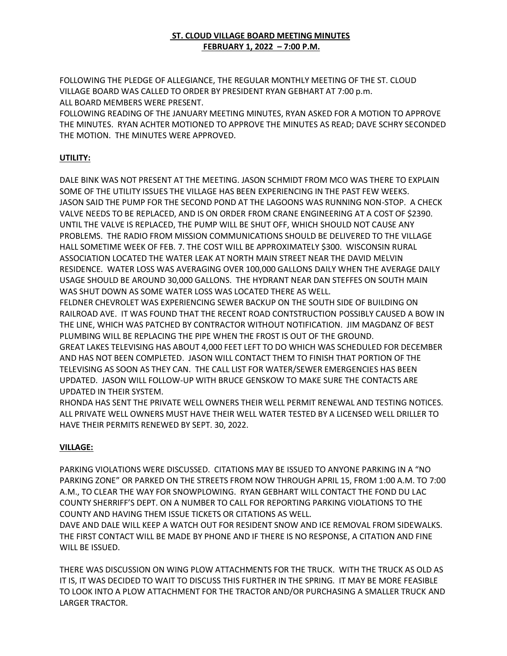## **ST. CLOUD VILLAGE BOARD MEETING MINUTES FEBRUARY 1, 2022 – 7:00 P.M.**

FOLLOWING THE PLEDGE OF ALLEGIANCE, THE REGULAR MONTHLY MEETING OF THE ST. CLOUD VILLAGE BOARD WAS CALLED TO ORDER BY PRESIDENT RYAN GEBHART AT 7:00 p.m. ALL BOARD MEMBERS WERE PRESENT.

FOLLOWING READING OF THE JANUARY MEETING MINUTES, RYAN ASKED FOR A MOTION TO APPROVE THE MINUTES. RYAN ACHTER MOTIONED TO APPROVE THE MINUTES AS READ; DAVE SCHRY SECONDED THE MOTION. THE MINUTES WERE APPROVED.

## **UTILITY:**

DALE BINK WAS NOT PRESENT AT THE MEETING. JASON SCHMIDT FROM MCO WAS THERE TO EXPLAIN SOME OF THE UTILITY ISSUES THE VILLAGE HAS BEEN EXPERIENCING IN THE PAST FEW WEEKS. JASON SAID THE PUMP FOR THE SECOND POND AT THE LAGOONS WAS RUNNING NON-STOP. A CHECK VALVE NEEDS TO BE REPLACED, AND IS ON ORDER FROM CRANE ENGINEERING AT A COST OF \$2390. UNTIL THE VALVE IS REPLACED, THE PUMP WILL BE SHUT OFF, WHICH SHOULD NOT CAUSE ANY PROBLEMS. THE RADIO FROM MISSION COMMUNICATIONS SHOULD BE DELIVERED TO THE VILLAGE HALL SOMETIME WEEK OF FEB. 7. THE COST WILL BE APPROXIMATELY \$300. WISCONSIN RURAL ASSOCIATION LOCATED THE WATER LEAK AT NORTH MAIN STREET NEAR THE DAVID MELVIN RESIDENCE. WATER LOSS WAS AVERAGING OVER 100,000 GALLONS DAILY WHEN THE AVERAGE DAILY USAGE SHOULD BE AROUND 30,000 GALLONS. THE HYDRANT NEAR DAN STEFFES ON SOUTH MAIN WAS SHUT DOWN AS SOME WATER LOSS WAS LOCATED THERE AS WELL.

FELDNER CHEVROLET WAS EXPERIENCING SEWER BACKUP ON THE SOUTH SIDE OF BUILDING ON RAILROAD AVE. IT WAS FOUND THAT THE RECENT ROAD CONTSTRUCTION POSSIBLY CAUSED A BOW IN THE LINE, WHICH WAS PATCHED BY CONTRACTOR WITHOUT NOTIFICATION. JIM MAGDANZ OF BEST PLUMBING WILL BE REPLACING THE PIPE WHEN THE FROST IS OUT OF THE GROUND.

GREAT LAKES TELEVISING HAS ABOUT 4,000 FEET LEFT TO DO WHICH WAS SCHEDULED FOR DECEMBER AND HAS NOT BEEN COMPLETED. JASON WILL CONTACT THEM TO FINISH THAT PORTION OF THE TELEVISING AS SOON AS THEY CAN. THE CALL LIST FOR WATER/SEWER EMERGENCIES HAS BEEN UPDATED. JASON WILL FOLLOW-UP WITH BRUCE GENSKOW TO MAKE SURE THE CONTACTS ARE UPDATED IN THEIR SYSTEM.

RHONDA HAS SENT THE PRIVATE WELL OWNERS THEIR WELL PERMIT RENEWAL AND TESTING NOTICES. ALL PRIVATE WELL OWNERS MUST HAVE THEIR WELL WATER TESTED BY A LICENSED WELL DRILLER TO HAVE THEIR PERMITS RENEWED BY SEPT. 30, 2022.

## **VILLAGE:**

PARKING VIOLATIONS WERE DISCUSSED. CITATIONS MAY BE ISSUED TO ANYONE PARKING IN A "NO PARKING ZONE" OR PARKED ON THE STREETS FROM NOW THROUGH APRIL 15, FROM 1:00 A.M. TO 7:00 A.M., TO CLEAR THE WAY FOR SNOWPLOWING. RYAN GEBHART WILL CONTACT THE FOND DU LAC COUNTY SHERRIFF'S DEPT. ON A NUMBER TO CALL FOR REPORTING PARKING VIOLATIONS TO THE COUNTY AND HAVING THEM ISSUE TICKETS OR CITATIONS AS WELL.

DAVE AND DALE WILL KEEP A WATCH OUT FOR RESIDENT SNOW AND ICE REMOVAL FROM SIDEWALKS. THE FIRST CONTACT WILL BE MADE BY PHONE AND IF THERE IS NO RESPONSE, A CITATION AND FINE WILL BE ISSUED.

THERE WAS DISCUSSION ON WING PLOW ATTACHMENTS FOR THE TRUCK. WITH THE TRUCK AS OLD AS IT IS, IT WAS DECIDED TO WAIT TO DISCUSS THIS FURTHER IN THE SPRING. IT MAY BE MORE FEASIBLE TO LOOK INTO A PLOW ATTACHMENT FOR THE TRACTOR AND/OR PURCHASING A SMALLER TRUCK AND LARGER TRACTOR.